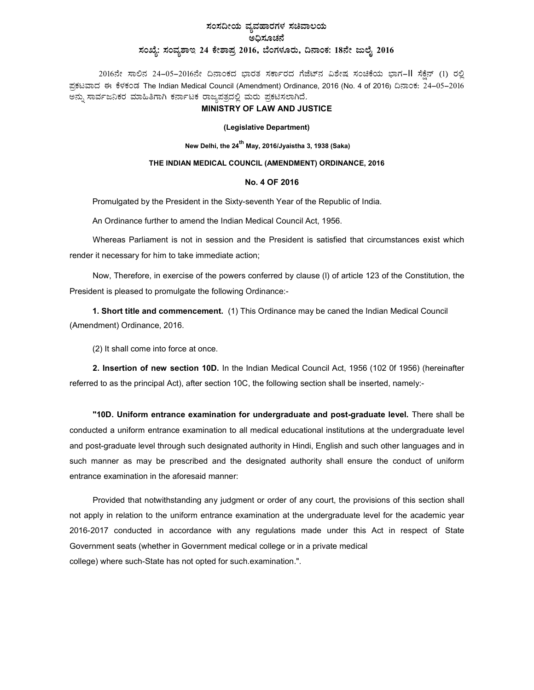# ಸಂಸದೀಯ ವ್ಯವಹಾರಗಳ ಸಚಿವಾಲಯ ಅಧಿಸೂಚನೆ ಸಂಖ್ಯೆ: ಸಂವ್ಯಶಾಇ 24 ಕೇಶಾಪ್ರ 2016, ಬೆಂಗಳೂರು, ದಿನಾಂಕ: 18ನೇ ಜುಲೈ 2016

2016ನೇ ಸಾಲಿನ 24-05-2016ನೇ ದಿನಾಂಕದ ಭಾರತ ಸರ್ಕಾರದ ಗೆಜೆಟ್ನ ವಿಶೇಷ ಸಂಚಿಕೆಯ ಭಾಗ-II ಸೆಕೆನ್ (1) ರಲ್ಲಿ ಪ್ರಕಟವಾದ ಈ ಕೆಳಕಂಡ The Indian Medical Council (Amendment) Ordinance, 2016 (No. 4 of 2016) ದಿನಾಂಕ: 24–05–2016 ಅನ್ನು ಸಾರ್ವಜನಿಕರ ಮಾಹಿತಿಗಾಗಿ ಕರ್ನಾಟಕ ರಾಜ್ಯಪತ್ರದಲ್ಲಿ ಮರು ಪ್ರಕಟಿಸಲಾಗಿದೆ.

#### MINISTRY OF LAW AND JUSTICE

#### (Legislative Department)

New Delhi, the 24<sup>th</sup> May, 2016/Jyaistha 3, 1938 (Saka)

### THE INDIAN MEDICAL COUNCIL (AMENDMENT) ORDINANCE, 2016

#### No. 4 OF 2016

Promulgated by the President in the Sixty-seventh Year of the Republic of India.

An Ordinance further to amend the Indian Medical Council Act, 1956.

Whereas Parliament is not in session and the President is satisfied that circumstances exist which render it necessary for him to take immediate action;

Now, Therefore, in exercise of the powers conferred by clause (l) of article 123 of the Constitution, the President is pleased to promulgate the following Ordinance:-

1. Short title and commencement. (1) This Ordinance may be caned the Indian Medical Council (Amendment) Ordinance, 2016.

(2) It shall come into force at once.

2. Insertion of new section 10D. In the Indian Medical Council Act, 1956 (102 0f 1956) (hereinafter referred to as the principal Act), after section 10C, the following section shall be inserted, namely:-

"10D. Uniform entrance examination for undergraduate and post-graduate level. There shall be conducted a uniform entrance examination to all medical educational institutions at the undergraduate level and post-graduate level through such designated authority in Hindi, English and such other languages and in such manner as may be prescribed and the designated authority shall ensure the conduct of uniform entrance examination in the aforesaid manner:

Provided that notwithstanding any judgment or order of any court, the provisions of this section shall not apply in relation to the uniform entrance examination at the undergraduate level for the academic year 2016-2017 conducted in accordance with any regulations made under this Act in respect of State Government seats (whether in Government medical college or in a private medical college) where such-State has not opted for such.examination.".